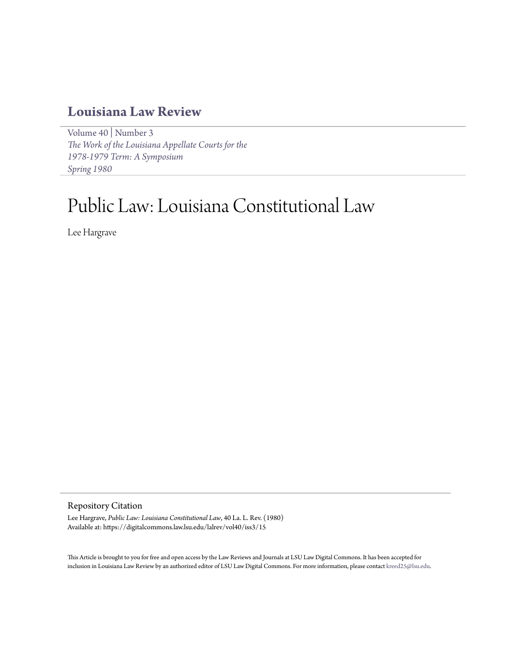# **[Louisiana Law Review](https://digitalcommons.law.lsu.edu/lalrev)**

[Volume 40](https://digitalcommons.law.lsu.edu/lalrev/vol40) | [Number 3](https://digitalcommons.law.lsu.edu/lalrev/vol40/iss3) *[The Work of the Louisiana Appellate Courts for the](https://digitalcommons.law.lsu.edu/lalrev/vol40/iss3) [1978-1979 Term: A Symposium](https://digitalcommons.law.lsu.edu/lalrev/vol40/iss3) [Spring 1980](https://digitalcommons.law.lsu.edu/lalrev/vol40/iss3)*

# Public Law: Louisiana Constitutional Law

Lee Hargrave

### Repository Citation

Lee Hargrave, *Public Law: Louisiana Constitutional Law*, 40 La. L. Rev. (1980) Available at: https://digitalcommons.law.lsu.edu/lalrev/vol40/iss3/15

This Article is brought to you for free and open access by the Law Reviews and Journals at LSU Law Digital Commons. It has been accepted for inclusion in Louisiana Law Review by an authorized editor of LSU Law Digital Commons. For more information, please contact [kreed25@lsu.edu](mailto:kreed25@lsu.edu).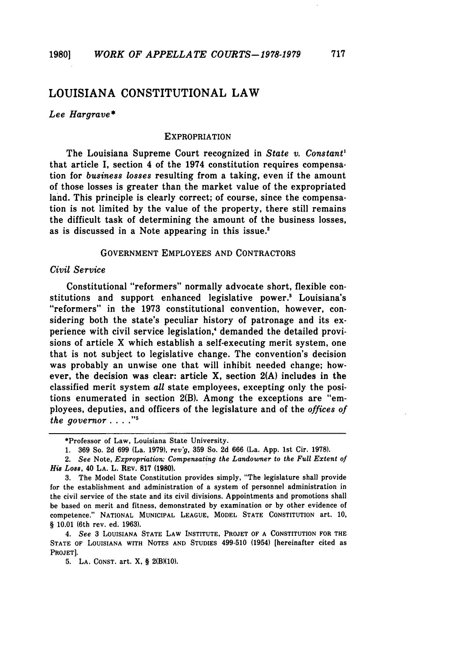# LOUISIANA CONSTITUTIONAL LAW

#### *Lee Hargrave\**

#### EXPROPRIATION

The Louisiana Supreme Court recognized in *State v. Constant'* that article I, section 4 of the 1974 constitution requires compensation for *business losses* resulting from a taking, even if the amount of those losses is greater than the market value of the expropriated land. This principle is clearly correct; of course, since the compensation is not limited **by** the value of the property, there still remains the difficult task of determining the amount of the business losses, as is discussed in a Note appearing in this issue.<sup>2</sup>

#### **GOVERNMENT** EMPLOYEES **AND** CONTRACTORS

#### *Civil Service*

Constitutional "reformers" normally advocate short, flexible constitutions and support enhanced legislative power.' Louisiana's "reformers" in the 1973 constitutional convention, however, considering both the state's peculiar history of patronage and its experience with civil service legislation,' demanded the detailed provisions of article X which establish a self-executing merit system, one that is not subject to legislative change. The convention's decision was probably an unwise one that will inhibit needed change; however, the decision was clear: article X, section **2(A)** includes in the classified merit system *all* state employees, excepting only the positions enumerated in section **2(B).** Among the exceptions are "employees, deputies, and officers of the legislature and of the *offices of <i>he governor* . . . .<sup>"5</sup>

*4. See* **3** LOUISIANA **STATE** LAW INSTITUTE, PROJET OF **A CONSTITUTION** FOR THE **STATE** OF LOUISIANA WITH **NOTES AND** STUDIES 499-510 (1954) [hereinafter cited as PROJET].

**5. LA.** CONST. art. **X,** § 2(B)(10).

<sup>\*</sup>Professor of Law, Louisiana State University.

<sup>1. 369</sup> So. 2d 699 (La. 1979), *rev'g,* 359 So. 2d 666 (La. App. 1st Cir. 1978).

<sup>2.</sup> *See* Note, *Expropriation: Compensating the Landowner* to *the Full Extent of* **His** *Loss,* 40 **LA.** L. REV. **817 (1980).**

**<sup>3.</sup>** The Model State Constitution provides simply, "The legislature shall provide for the establishment and administration of a system of personnel administration in the civil service of the state and its civil divisions. Appointments and promotions shall be based on merit and fitness, demonstrated **by** examination or **by** other evidence of competence." NATIONAL **MUNICIPAL LEAGUE,** MODEL **STATE CONSTITUTION** art. **10,** § **10.01** (6th rev. ed. **1963).**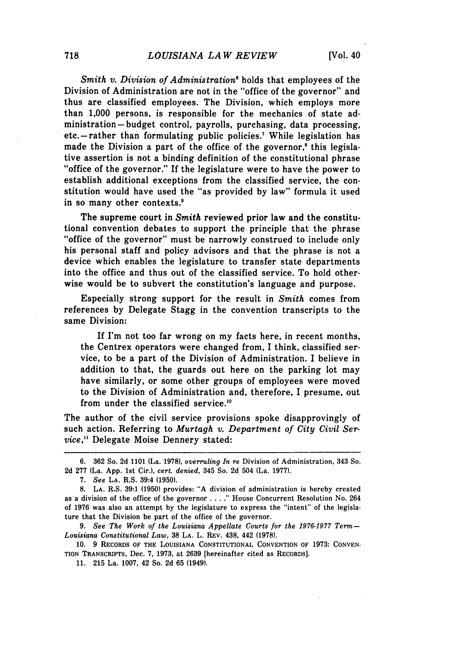*Smith v. Division of Administration'* holds that employees of the Division of Administration are not in the "office of the governor" and thus are classified employees. The Division, which employs more than 1,000 persons, is responsible for the mechanics of state administration- budget control, payrolls, purchasing, data processing, etc.-rather than formulating public policies.<sup>7</sup> While legislation has made the Division a part of the office of the governor,<sup>8</sup> this legislative assertion is not a binding definition of the constitutional phrase "office of the governor." If the legislature were to have the power to establish additional exceptions from the classified service, the constitution would have used the "as provided by law" formula it used in so many other contexts.'

The supreme court in *Smith* reviewed prior law and the constitutional convention debates to support the principle that the phrase "office of the governor" must be narrowly construed to include only his personal staff and policy advisors and that the phrase is not a device which enables the legislature to transfer state departments into the office and thus out of the classified service. To hold otherwise would be to subvert the constitution's language and purpose.

Especially strong support for the result in *Smith* comes from references by Delegate Stagg in the convention transcripts to the same Division:

If I'm not too far wrong on my facts here, in recent months, the Centrex operators were changed from, I think, classified service, to be a part of the Division of Administration. I believe in addition to that, the guards out here on the parking lot may have similarly, or some other groups of employees were moved to the Division of Administration and, therefore, I presume, out from under the classified service.'0

The author of the civil service provisions spoke disapprovingly of such action. Referring to *Murtagh v. Department of City Civil Service,"* Delegate Moise Dennery stated:

<sup>6. 362</sup> So. 2d 1101 (La. 1978), *overruling In re* Division of Administration, 343 So. 2d 277 (La. App. 1st Cir.), *cert. denied,* 345 So. 2d 504 (La. 1977).

<sup>7.</sup> *See* **LA.** R.S. 39:4 (1950).

<sup>8.</sup> **LA.** R.S. 39:1 (1950) provides: "A division of administration is hereby created as a division of the office of the governor **....** House Concurrent Resolution No. 264 of 1976 was also an attempt by the legislature to express the "intent" of the legislature that the Division be part of the office of the governor.

<sup>9.</sup> *See The Work of the Louisiana Appellate Courts for the 1976-1977 Term-Louisiana Constitutional Law,* 38 LA. L. REV. 438, 442 (1978).

**<sup>10. 9</sup>** RECORDS OF THE LOUISIANA **CONSTITUTIONAL** CONVENTION OF **1973:** CONVEN-**TION** TRANSCRIPTS, Dec. **7, 1973,** at **2639** [hereinafter cited as RECORDS].

**<sup>11. 215</sup>** La. **1007,** 42 So. **2d 65** (1949).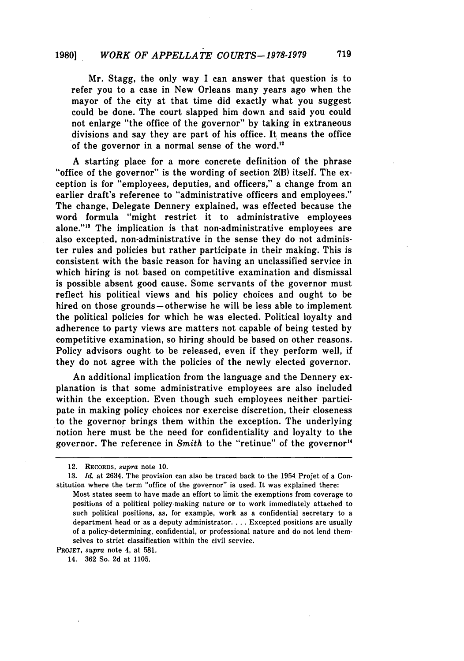# **19801** *WORK OF APPELLATE COURTS-1978-1979* **719**

Mr. Stagg, the only way I can answer that question is to refer you to a case in New Orleans many years ago when the mayor of the city at that time did exactly what you suggest could be done. The court slapped him down and said you could not enlarge "the office of the governor" by taking in extraneous divisions and say they are part of his office. It means the office of the governor in a normal sense of the word."2

A starting place for a more concrete definition of the phrase "office of the governor" is the wording of section **2(B)** itself. The exception is for "employees, deputies, and officers," a change from an earlier draft's reference to "administrative officers and employees." The change, Delegate Dennery explained, was effected because the word formula "might restrict it to administrative employees alone."'" The implication is that non-administrative employees are also excepted, non-administrative in the sense they do not administer rules and policies but rather participate in their making. This is consistent with the basic reason for having an unclassified service in which hiring is not based on competitive examination and dismissal is possible absent good cause. Some servants of the governor must reflect his political views and his policy choices and ought to be hired on those grounds-otherwise he will be less able to implement the political policies for which he was elected. Political loyalty and adherence to party views are matters not capable of being tested by competitive examination, so hiring should be based on other reasons. Policy advisors ought to be released, even if they perform well, if they do not agree with the policies of the newly elected governor.

An additional implication from the language and the Dennery explanation is that some administrative employees are also included within the exception. Even though such employees neither participate in making policy choices nor exercise discretion, their closeness to the governor brings them within the exception. The underlying notion here must be the need for confidentiality and loyalty to the governor. The reference in *Smith* to the "retinue" of the governor"

<sup>12.</sup> RECORDS, *supra* note 10.

<sup>13.</sup> *Id.* at 2634. The provision can also be traced back to the 1954 Projet of a Constitution where the term "office of the governor" is used. It was explained there:

Most states seem to have made an effort to limit the exemptions from coverage to positions of a political policy-making nature or to work immediately attached to such political positions, as, for example, work as a confidential secretary to a department head or as a deputy administrator **....** Excepted positions are usually of a policy-determining, confidential, or professional nature and do not lend themselves to strict classification within the civil service.

PROJET, *supra* note 4, at 581.

<sup>14. 362</sup> So. 2d at 1105.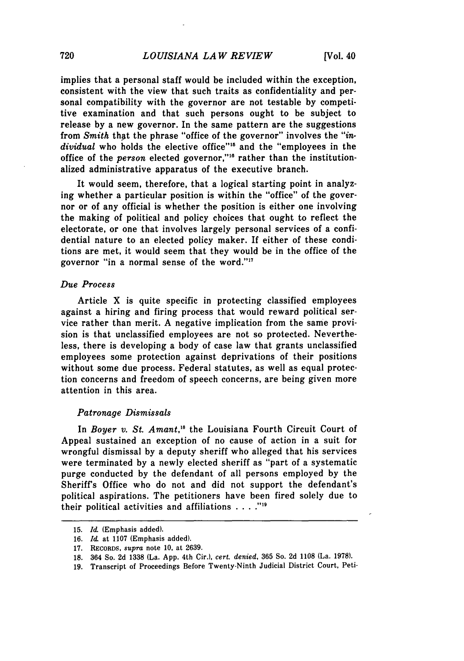implies that a personal staff would be included within the exception, consistent with the view that such traits as confidentiality and personal compatibility with the governor are not testable by competitive examination and that such persons ought to be subject to release by a new governor. In the same pattern are the suggestions from *Smith* that the phrase "office of the governor" involves the *"in*dividual who holds the elective office"<sup>15</sup> and the "employees in the office of the *person* elected governor,"<sup>16</sup> rather than the institutionalized administrative apparatus of the executive branch.

It would seem, therefore, that a logical starting point in analyzing whether a particular position is within the "office" of the governor or of any official is whether the position is either one involving the making of political and policy choices that ought to reflect the electorate, or one that involves largely personal services of a confidential nature to an elected policy maker. If either of these conditions are met, it would seem that they would be in the office of the governor "in a normal sense of the word."<sup>17</sup>

#### *Due Process*

Article X is quite specific in protecting classified employees against a hiring and firing process that would reward political service rather than merit. A negative implication from the same provision is that unclassified employees are not so protected. Nevertheless, there is developing a body of case law that grants unclassified employees some protection against deprivations of their positions without some due process. Federal statutes, as well as equal protection concerns and freedom of speech concerns, are being given more attention in this area.

#### *Patronage Dismissals*

In *Boyer v. St. Amant,'8* the Louisiana Fourth Circuit Court of Appeal sustained an exception of no cause of action in a suit for wrongful dismissal by a deputy sheriff who alleged that his services were terminated by a newly elected sheriff as "part of a systematic purge conducted by the defendant of all persons employed by the Sheriff's Office who do not and did not support the defendant's political aspirations. The petitioners have been fired solely due to their political activities and affiliations  $\ldots$ ."<sup>19</sup>

<sup>15.</sup> *Id.* (Emphasis added).

<sup>16.</sup> *Id.* at 1107 (Emphasis added).

<sup>17.</sup> RECORDS, *supra* note 10, at 2639.

<sup>18. 364</sup> So. 2d 1338 (La. App. 4th Cir.), *cert. denied,* 365 So. 2d 1108 (La. 1978).

**<sup>19.</sup>** Transcript of Proceedings Before Twenty-Ninth Judicial District Court, Peti-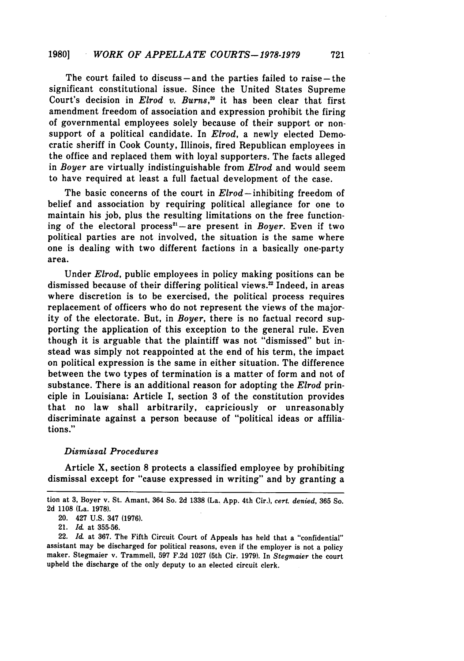The court failed to discuss-and the parties failed to raise-the significant constitutional issue. Since the United States Supreme Court's decision in *Elrod v. Burns*,<sup>20</sup> it has been clear that first amendment freedom of association and expression prohibit the firing of governmental employees solely because of their support or nonsupport of a political candidate. In *Elrod,* a newly elected Democratic sheriff in Cook County, Illinois, fired Republican employees in the office and replaced them with loyal supporters. The facts alleged in *Boyer* are virtually indistinguishable from *Elrod* and would seem to have required at least a full factual development of the case.

The basic concerns of the court in *Elrod-* inhibiting freedom of belief and association **by** requiring political allegiance for one to maintain his **job,** plus the resulting limitations on the free functioning of the electoral process<sup>21</sup>-are present in *Boyer*. Even if two political parties are not involved, the situation is the same where one is dealing with two different factions in a basically one-party area.

Under *Elrod,* public employees in policy making positions can be dismissed because of their differing political views.<sup>22</sup> Indeed, in areas where discretion is to be exercised, the political process requires replacement of officers who do not represent the views of the majority of the electorate. But, in *Boyer,* there is no factual record supporting the application of this exception to the general rule. Even though it is arguable that the plaintiff was not "dismissed" but instead was simply not reappointed at the end of his term, the impact on political expression is the same in either situation. The difference between the two types of termination is a matter of form and not of substance. There is an additional reason for adopting the *Elrod* principle in Louisiana: Article I, section 3 of the constitution provides that no law shall arbitrarily, capriciously or unreasonably discriminate against a person because of "political ideas or affiliations."

#### *Dismissal Procedures*

Article X, section 8 protects a classified employee by prohibiting dismissal except for "cause expressed in writing" and by granting a

tion at **3,** Boyer v. St. Amant, 364 So. 2d 1338 (La. App. 4th Cir.), *cert. denied,* 365 So. 2d 1108 (La. 1978).

<sup>20. 427</sup> U.S. 347 (1976).

<sup>21.</sup> *Id.* at **355-56.**

<sup>22.</sup> *Id.* at **367.** The Fifth Circuit Court of Appeals has held that a "confidential" assistant may be discharged for political reasons, even if the employer is not a policy maker. Stegmaier v. Trammell, **597 F.2d 1027** (5th Cir. **1979).** In *Stegmaier* the court upheld the discharge of the only deputy to an elected circuit clerk.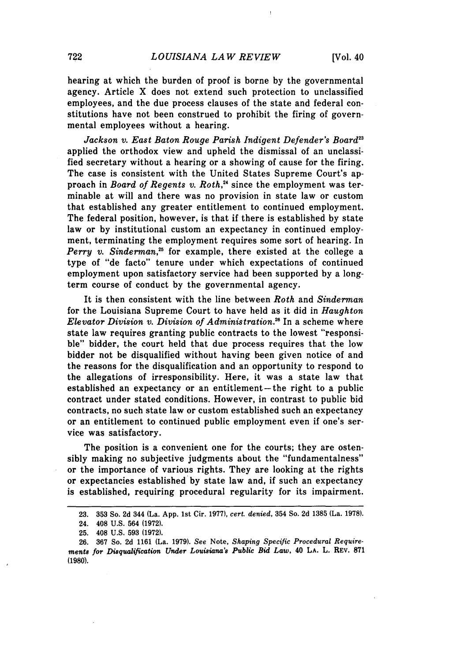hearing at which the burden of proof is borne **by** the governmental agency. Article X does not extend such protection to unclassified employees, and the due process clauses of the state and federal constitutions have not been construed to prohibit the firing of governmental employees without a hearing.

Jackson v. East Baton Rouge Parish Indigent Defender's Board<sup>23</sup> applied the orthodox view and upheld the dismissal of an unclassified secretary without a hearing or a showing of cause for the firing. The case is consistent with the United States Supreme Court's approach in *Board of Regents v. Roth,2'* since the employment was terminable at will and there was no provision in state law or custom that established any greater entitlement to continued employment. The federal position, however, is that if there is established by state law or by institutional custom an expectancy in continued employment, terminating the employment requires some sort of hearing. In *Perry v. Sinderman,25* for example, there existed at the college a type of "de facto" tenure under which expectations of continued employment upon satisfactory service had been supported by a longterm course of conduct by the governmental agency.

It is then consistent with the line between *Roth* and *Sinderman* for the Louisiana Supreme Court to have held as it did in *Haughton Elevator Division v. Division of Administration."* In a scheme where state law requires granting public contracts to the lowest "responsible" bidder, the court held that due process requires that the low bidder not be disqualified without having been given notice of and the reasons for the disqualification and an opportunity to respond to the allegations of irresponsibility. Here, it was a state law that established an expectancy or an entitlement-the right to a public contract under stated conditions. However, in contrast to public bid contracts, no such state law or custom established such an expectancy or an entitlement to continued public employment even if one's service was satisfactory.

The position is a convenient one for the courts; they are ostensibly making no subjective judgments about the "fundamentalness" or the importance of various rights. They are looking at the rights or expectancies established by state law and, if such an expectancy is established, requiring procedural regularity for its impairment.

<sup>23. 353</sup> So. 2d 344 (La. App. 1st Cir. 1977), *cert. denied,* 354 So. 2d 1385 (La. 1978).

<sup>24. 408</sup> U.S. 564 **(1972).**

**<sup>25.</sup>** 408 U.S. **593** (1972).

<sup>26. 367</sup> So. 2d 1161 (La. 1979). See Note, *Shaping Specific Procedural Requirements for Disqualification Under Louisiana's Public Bid Law,* 40 **LA.** L. REV. **871** (1980).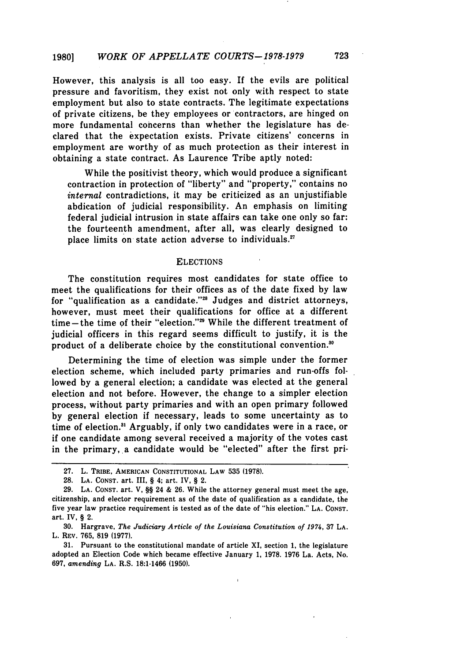However, this analysis is all too easy. If the evils are political pressure and favoritism, they exist not only with respect to state employment but also to state contracts. The legitimate expectations of private citizens, be they employees or contractors, are hinged on more fundamental concerns than whether the legislature has declared that the expectation exists. Private citizens' concerns in employment are worthy of as much protection as their interest in obtaining a state contract. As Laurence Tribe aptly noted:

While the positivist theory, which would produce a significant contraction in protection of "liberty" and "property," contains no *internal* contradictions, it may be criticized as an unjustifiable abdication of judicial responsibility. An emphasis on limiting federal judicial intrusion in state affairs can take one only so far: the fourteenth amendment, after all, was clearly designed to place limits on state action adverse to individuals.<sup>27</sup>

#### ELECTIONS

The constitution requires most candidates for state office to meet the qualifications for their offices as of the date fixed by law for "qualification as a candidate."28 Judges and district attorneys, however, must meet their qualifications for office at a different time-the time of their "election."<sup>29</sup> While the different treatment of judicial officers in this regard seems difficult to justify, it is the product of a deliberate choice by the constitutional convention.<sup>30</sup>

Determining the time of election was simple under the former election scheme, which included party primaries and run-offs followed by a general election; a candidate was elected at the general election and not before. However, the change to a simpler election process, without party primaries and with an open primary followed by general election if necessary, leads to some uncertainty as to time of election." Arguably, if only two candidates were in a race, or if one candidate among several received a majority of the votes cast in the primary, a candidate would be "elected" after the first pri-

**<sup>27.</sup>** L. TRIBE, **AMERICAN** CONSTITUTIONAL LAW **535 (1978).**

**<sup>28.</sup> LA. CONST.** art. III, § 4; art. IV, § 2.

**<sup>29.</sup> LA. CONST.** art. **V,** §§ 24 **& 26.** While the attorney general must meet the age, citizenship, and elector requirement as of the date of qualification as a candidate, the five year law practice requirement is tested as of the date of "his election." **LA. CONST.** art. IV, § 2.

**<sup>30.</sup>** Hargrave, *The Judiciary Article of the Louisiana Constitution of 1974,* **37 LA.** L. REV. **765, 819 (1977).**

**<sup>31.</sup>** Pursuant to the constitutional mandate of article XI, section **1,** the legislature adopted an Election Code which became effective January **1, 1978. 1976** La. Acts, No. **697,** *amending* **LA.** R.S. **18:1-1466 (1950).**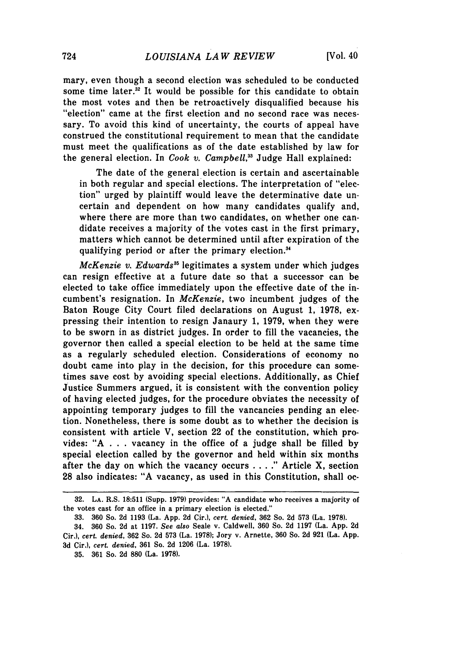mary, even though a second election was scheduled to be conducted some time later.<sup>32</sup> It would be possible for this candidate to obtain the most votes and then be retroactively disqualified because his "election" came at the first election and no second race was necessary. To avoid this kind of uncertainty, the courts of appeal have construed the constitutional requirement to mean that the candidate must meet the qualifications as of the date established **by** law for the general election. In *Cook v. Campbell,33* Judge Hall explained:

The date of the general election is certain and ascertainable in both regular and special elections. The interpretation of "election" urged by plaintiff would leave the determinative date uncertain and dependent on how many candidates qualify and, where there are more than two candidates, on whether one candidate receives a majority of the votes cast in the first primary, matters which cannot be determined until after expiration of the qualifying period or after the primary election.'

*McKenzie v. Edwards*<sup>35</sup> legitimates a system under which judges can resign effective at a future date so that a successor can be elected to take office immediately upon the effective date of the incumbent's resignation. In *McKenzie,* two incumbent judges of the Baton Rouge City Court filed declarations on August 1, 1978, expressing their intention to resign Janaury 1, 1979, when they were to be sworn in as district judges. In order to fill the vacancies, the governor then called a special election to be held at the same time as a regularly scheduled election. Considerations of economy no doubt came into play in the decision, for this procedure can sometimes save cost by avoiding special elections. Additionally, as Chief Justice Summers argued, it is consistent with the convention policy of having elected judges, for the procedure obviates the necessity of appointing temporary judges to fill the vancancies pending an election. Nonetheless, there is some doubt as to whether the decision is consistent with article V, section 22 of the constitution, which provides: **"A** . . . vacancy in the office of a judge shall be filled by special election called by the governor and held within six months after the day on which the vacancy occurs . **. . ."** Article X, section 28 also indicates: "A vacancy, as used in this Constitution, shall oc-

<sup>32.</sup> **LA.** R.S. 18:511 (Supp. 1979) provides: "A candidate who receives a majority of the votes cast for an office in a primary election is elected."

<sup>33.</sup> **360** So. 2d 1193 (La. App. 2d Cir.), *cert. denied,* **362** So. 2d 573 (La. 1978).

<sup>34.</sup> **360** So. 2d at 1197. *See also* Seale v. Caldwell, 360 So. 2d 1197 (La. App. **2d** Cir.), *cert. denied,* 362 So. 2d 573 (La. 1978); Jory v. Arnette, 360 So. 2d 921 (La. App. 3d Cir.), *cert. denied,* 361 So. 2d 1206 (La. 1978).

<sup>35. 361</sup> So. 2d 880 (La. 1978).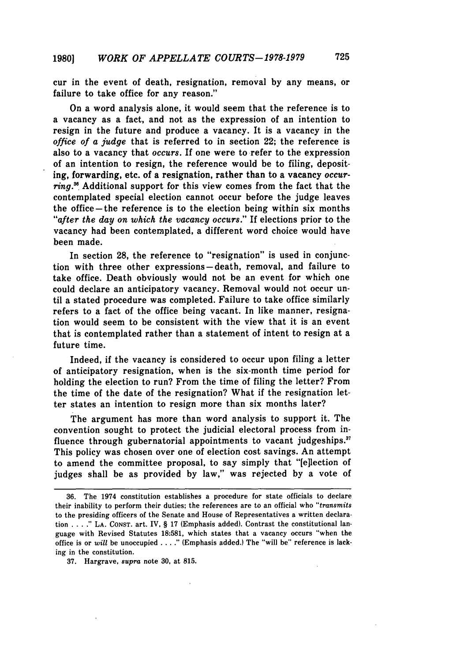cur in the event of death, resignation, removal **by** any means, or failure to take office for any reason."

On a word analysis alone, it would seem that the reference is to a vacancy as a fact, and not as the expression of an intention to resign in the future and produce a vacancy. It is a vacancy in the *office of a judge* that is referred to in section 22; the reference is also to a vacancy that *occurs.* If one were to refer to the expression of an intention to resign, the reference would be to filing, depositing, forwarding, etc. of a resignation, rather than to a vacancy *occur*ring.<sup>36</sup> Additional support for this view comes from the fact that the contemplated special election cannot occur before the judge leaves the office-the reference is to the election being within six months *"after the day on which the vacancy occurs."* If elections prior to the vacancy had been contemplated, a different word choice would have been made.

In section **28,** the reference to "resignation" is used in conjunction with three other expressions-death, removal, and failure to take office. Death obviously would not be an event for which one could declare an anticipatory vacancy. Removal would not occur until a stated procedure was completed. Failure to take office similarly refers to a fact of the office being vacant. In like manner, resignation would seem to be consistent with the view that it is an event that is contemplated rather than a statement of intent to resign at a future time.

Indeed, if the vacancy is considered to occur upon filing a letter of anticipatory resignation, when is the six-month time period for holding the election to run? From the time of filing the letter? From the time of the date of the resignation? What if the resignation letter states an intention to resign more than six months later?

The argument has more than word analysis to support it. The convention sought to protect the judicial electoral process from influence through gubernatorial appointments to vacant judgeships.<sup>37</sup> This policy was chosen over one of election cost savings. An attempt to amend the committee proposal, to say simply that "[e]lection of judges shall be as provided **by** law," was rejected **by** a vote of

**<sup>36.</sup>** The 1974 constitution establishes a procedure for state officials to declare their inability to perform their duties; the references are to an official who *"transmits* to the presiding officers of the Senate and House of Representatives a written declaration **.... " LA. CONST.** art. IV, § 17 (Emphasis added). Contrast the constitutional language with Revised Statutes 18:581, which states that a vacancy occurs "when the office is or will be unoccupied . . . ." (Emphasis added.) The "will be" reference is lacking in the constitution.

<sup>37.</sup> Hargrave, *supra* note 30, at 815.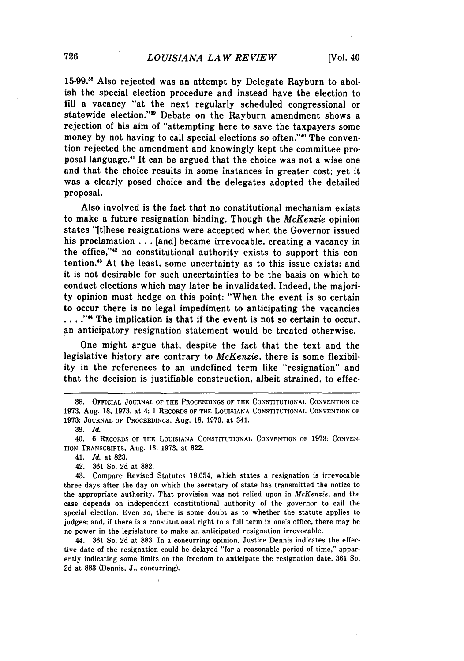**15-99."** Also rejected was an attempt by Delegate Rayburn to abolish the special election procedure and instead have the election to fill a vacancy "at the next regularly scheduled congressional or statewide election."<sup>39</sup> Debate on the Rayburn amendment shows a rejection of his aim of "attempting here to save the taxpayers some money by not having to call special elections so often."<sup>40</sup> The convention rejected the amendment and knowingly kept the committee proposal language." It can be argued that the choice was not a wise one and that the choice results in some instances in greater cost; yet it was a clearly posed choice and the delegates adopted the detailed proposal.

Also involved is the fact that no constitutional mechanism exists to make a future resignation binding. Though the *McKenzie* opinion states "[tihese resignations were accepted when the Governor issued his proclamation . . . [and] became irrevocable, creating a vacancy in the office,"<sup>42</sup> no constitutional authority exists to support this contention.<sup>43</sup> At the least, some uncertainty as to this issue exists; and it is not desirable for such uncertainties to be the basis on which to conduct elections which may later be invalidated. Indeed, the majority opinion must hedge on this point: "When the event is so certain to occur there is no legal impediment to anticipating the vacancies .... **""** The implication is that if the event is not so certain to occur, an anticipatory resignation statement would be treated otherwise.

One might argue that, despite the fact that the text and the legislative history are contrary to *McKenzie,* there is some flexibility in the references to an undefined term like "resignation" and that the decision is justifiable construction, albeit strained, to effec-

44. **361** So. **2d** at **883.** In a concurring opinion, Justice Dennis indicates the effective date of the resignation could be delayed "for a reasonable period of time," apparently indicating some limits on the freedom to anticipate the resignation date. **361** So. **2d** at **883** (Dennis, **J.,** concurring).

**<sup>38.</sup>** OFFICIAL JOURNAL OF THE PROCEEDINGS OF THE CONSTITUTIONAL CONVENTION OF **1973,** Aug. **18, 1973,** at 4; **1** RECORDS OF THE LOUISIANA **CONSTITUTIONAL CONVENTION** OF **1973: JOURNAL** OF PROCEEDINGS, Aug. **18, 1973,** at 341.

**<sup>39.</sup>** *Id.*

<sup>40.</sup> **6** RECORDS OF THE LOUISIANA **CONSTITUTIONAL CONVENTION** OF **1973: CONVEN-**TION TRANSCRIPTS, Aug. **18, 1973,** at **822.**

<sup>41.</sup> *Id.* at **823.**

<sup>42.</sup> **361** So. **2d** at **882.**

<sup>43.</sup> Compare Revised Statutes **18:654,** which states a resignation is irrevocable three days after the day on which the secretary of state has transmitted the notice to the appropriate authority. That provision was not relied upon in *McKenzie,* and the case depends on independent constitutional authority of the governor to call the special election. Even so, there is some doubt as to whether the statute applies to judges; and, if there is a constitutional right to a full term in one's office, there may be no power in the legislature to make an anticipated resignation irrevocable.